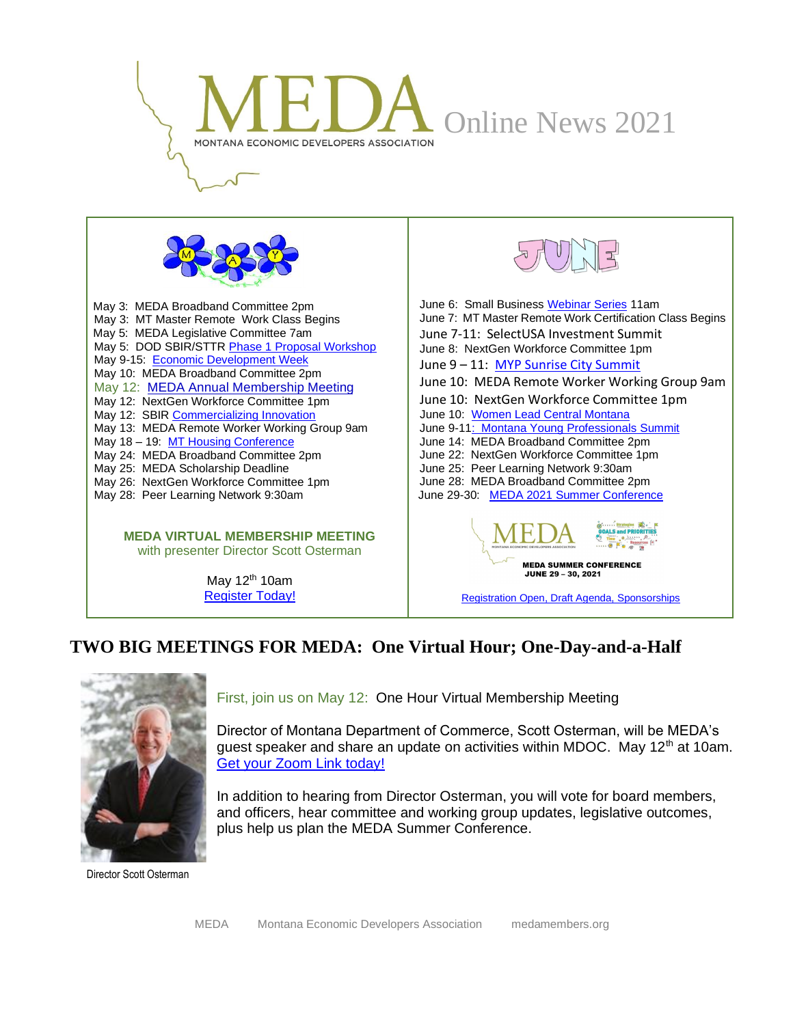



May 3: MEDA Broadband Committee 2pm May 3: MT Master Remote Work Class Begins May 5: MEDA Legislative Committee 7am May 5: DOD SBIR/STT[R Phase 1 Proposal Workshop](https://www.eventbrite.com/e/montana-innovation-partnership-dod-sbirsttr-online-proposal-lab-tickets-149879717269) May 9-15: [Economic Development Week](https://www.iedconline.org/index.php?submenu=EconomicDevelopmentWeek&src=pages&ref=economic-development-week&utm_medium=email&utm_campaign=423%20-%20Coming%20MAY&utm_content=423%20-%20Coming%20MAY+CID_5b0815048e2973a49423e180d1d71819&utm_source=Campaign%20Monitor%20IEDC&utm_term=LEARN%20MORE) May 10: MEDA Broadband Committee 2pm May 12: [MEDA Annual Membership Meeting](https://us02web.zoom.us/meeting/register/tZ0rfu6qrDkuGdTfXFiy4--e-cXueRVyZFXE) May 12: NextGen Workforce Committee 1pm May 12: SBIR [Commercializing Innovation](https://www.eventbrite.com/e/webinar-sba-support-for-commercializing-innovation-tickets-152406817895?utm_source=eventbrite&utm_medium=email&utm_content=follow_notification&utm_campaign=following_published_event&utm_term=WEBINAR%3A+SBA+Support+for+Commercializing+Innovation&aff=ebemoffollowpublishemail) May 13: MEDA Remote Worker Working Group 9am May 18 – 19: [MT Housing Conference](https://commerce.mt.gov/News/PressReleases/registration-for-the-2021-housing-partnership-virtual-conference-is-now-open) May 24: MEDA Broadband Committee 2pm May 25: MEDA Scholarship Deadline May 26: NextGen Workforce Committee 1pm May 28: Peer Learning Network 9:30am

> **MEDA VIRTUAL MEMBERSHIP MEETING** with presenter Director Scott Osterman

> > May  $12<sup>th</sup> 10$ am [Register Today!](https://us02web.zoom.us/meeting/register/tZ0rfu6qrDkuGdTfXFiy4--e-cXueRVyZFXE)



[Registration Open, Draft Agenda, Sponsorships](https://www.medamembers.org/events)

#### **TWO BIG MEETINGS FOR MEDA: One Virtual Hour; One-Day-and-a-Half**



First, join us on May 12: One Hour Virtual Membership Meeting

Director of Montana Department of Commerce, Scott Osterman, will be MEDA's guest speaker and share an update on activities within MDOC. May  $12<sup>th</sup>$  at 10am. [Get your Zoom Link today!](https://us02web.zoom.us/meeting/register/tZ0rfu6qrDkuGdTfXFiy4--e-cXueRVyZFXE) 

In addition to hearing from Director Osterman, you will vote for board members, and officers, hear committee and working group updates, legislative outcomes, plus help us plan the MEDA Summer Conference.

Director Scott Osterman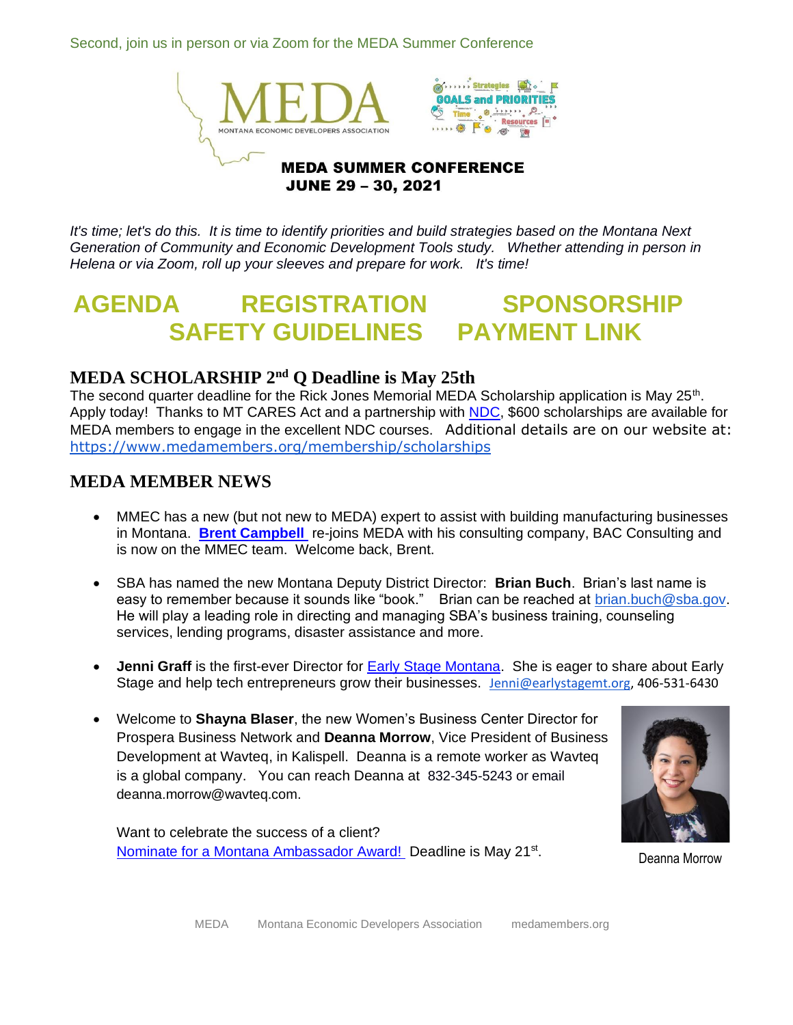Second, join us in person or via Zoom for the MEDA Summer Conference



*It's time; let's do this. It is time to identify priorities and build strategies based on the Montana Next Generation of Community and Economic Development Tools study. Whether attending in person in Helena or via Zoom, roll up your sleeves and prepare for work. It's time!*

# **[AGENDA](https://www.medamembers.org/media/userfiles/subsite_48/files/MEDA%202021%20Summer%20Conference%20Agenda.pdf) [REGISTRATION](https://www.surveymonkey.com/r/MEDASUMMER21) [SPONSORSHIP](https://www.medamembers.org/media/userfiles/subsite_48/files/MEDA%20June%202021%20Conference%20Sponsorship.pdf) [SAFETY GUIDELINES](https://www.medamembers.org/media/userfiles/subsite_48/files/MEDA%20Conference%20Safety%20Plan%20Approved.pdf) [PAYMENT LINK](https://svc.mt.gov/doa/opp/govmeda/cart)**

#### **MEDA SCHOLARSHIP 2nd Q Deadline is May 25th**

The second quarter deadline for the Rick Jones Memorial MEDA Scholarship application is May 25<sup>th</sup>. Apply today! Thanks to MT CARES Act and a partnership with **NDC**, \$600 scholarships are available for MEDA members to engage in the excellent NDC courses. Additional details are on our website at: <https://www.medamembers.org/membership/scholarships>

#### **MEDA MEMBER NEWS**

- MMEC has a new (but not new to MEDA) expert to assist with building manufacturing businesses in Montana. **[Brent Campbell](https://www.medamembers.org/membership/p/item/841/brent-campbell)** re-joins MEDA with his consulting company, BAC Consulting and is now on the MMEC team. Welcome back, Brent.
- SBA has named the new Montana Deputy District Director: **Brian Buch**. Brian's last name is easy to remember because it sounds like "book." Brian can be reached at **brian.buch@sba.gov.** He will play a leading role in directing and managing SBA's business training, counseling services, lending programs, disaster assistance and more.
- **Jenni Graff** is the first-ever Director for [Early Stage Montana.](https://www.earlystagemt.org/) She is eager to share about Early Stage and help tech entrepreneurs grow their businesses. [Jenni@earlystagemt.org,](mailto:Jenni@earlystagemt.org) 406-531-6430
- Welcome to **Shayna Blaser**, the new Women's Business Center Director for Prospera Business Network and **Deanna Morrow**, Vice President of Business Development at Wavteq, in Kalispell. Deanna is a remote worker as Wavteq is a global company. You can reach Deanna at 832-345-5243 or email [deanna.morrow@wavteq.com](mailto:deanna.morrow@wavteq.com).

Want to celebrate the success of a client? [Nominate for a Montana Ambassador Award!](https://montanaambassadors.submittable.com/submit/163576/2020-montana-ambassador-awards?utm_medium=email&_hsmi=120991504&_hsenc=p2ANqtz--vZJkxfei9oFob6haLkhyrfQC9fFgq5t2goD8uQbFseahWyKiema7OVSkHvNHa5T26cP9Wb5MoMO5pvM5ZcDEyMzZAhw&utm_content=120991504&utm_source=hs_email) Deadline is May 21<sup>st</sup>.



. Deanna Morrow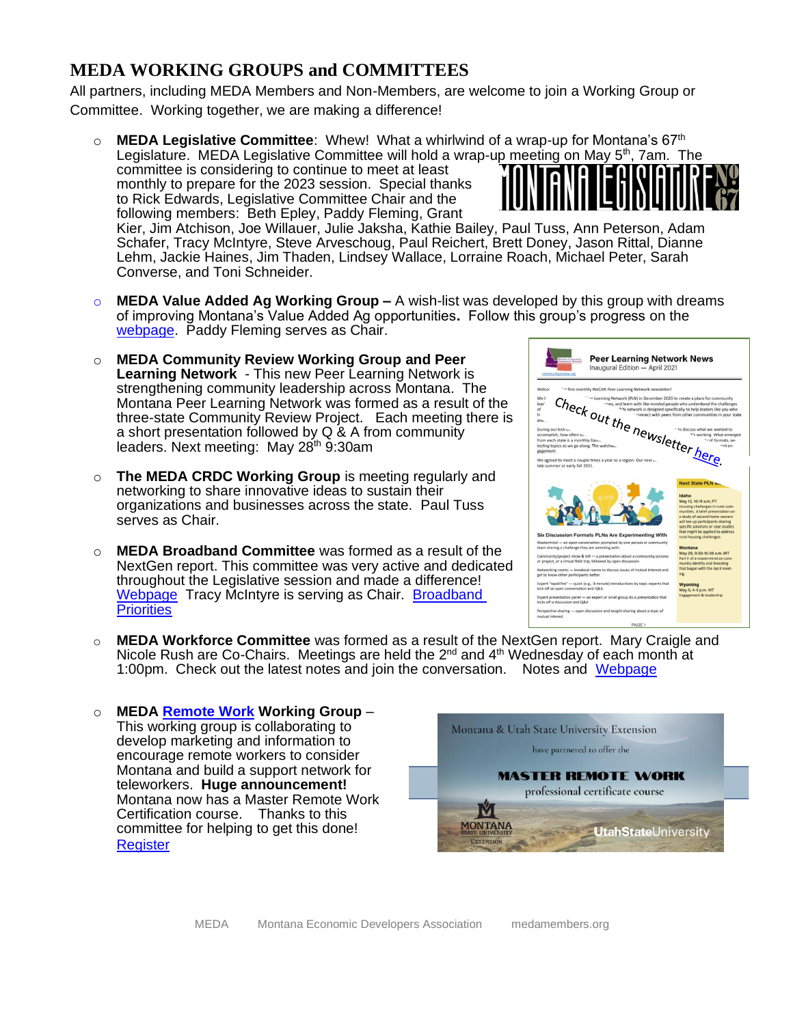### **MEDA WORKING GROUPS and COMMITTEES**

All partners, including MEDA Members and Non-Members, are welcome to join a Working Group or Committee. Working together, we are making a difference!

o **MEDA Legislative Committee**: Whew! What a whirlwind of a wrap-up for Montana's 67th Legislature. MEDA Legislative Committee will hold a wrap-up meeting on May 5<sup>th</sup>, 7am. The committee is considering to continue to meet at least monthly to prepare for the 2023 session. Special thanks to Rick Edwards, Legislative Committee Chair and the following members: Beth Epley, Paddy Fleming, Grant Kier, Jim Atchison, Joe Willauer, Julie Jaksha, Kathie Bailey, Paul Tuss, Ann Peterson, Adam

Schafer, Tracy McIntyre, Steve Arveschoug, Paul Reichert, Brett Doney, Jason Rittal, Dianne Lehm, Jackie Haines, Jim Thaden, Lindsey Wallace, Lorraine Roach, Michael Peter, Sarah Converse, and Toni Schneider.

- o **MEDA Value Added Ag Working Group –** A wish-list was developed by this group with dreams of improving Montana's Value Added Ag opportunities**.** Follow this group's progress on the [webpage.](https://www.medamembers.org/working-groups/value-added-agriculture)Paddy Fleming serves as Chair.
- o **MEDA Community Review Working Group and Peer Learning Network** - This new Peer Learning Network is strengthening community leadership across Montana. The Montana Peer Learning Network was formed as a result of the three-state Community Review Project. Each meeting there is a short presentation followed by Q & A from community leaders. Next meeting: May 28<sup>th</sup> 9:30am
- The MEDA CRDC Working Group is meeting regularly and networking to share innovative ideas to sustain their organizations and businesses across the state. Paul Tuss serves as Chair.
- o **MEDA Broadband Committee** was formed as a result of the NextGen report. This committee was very active and dedicated throughout the Legislative session and made a difference! [Webpage](https://www.medamembers.org/mt-next-generation-of-tools/broadband-committee) Tracy McIntyre is serving as Chair. Broadband **[Priorities](https://www.medamembers.org/media/userfiles/subsite_48/files/MEDA%20NextGen%20Broadband%20Committee%20Legislative%20Priorities%20for%20Broadband%20Final%20Board%20approved%20Dec%202020.pdf)**



- **MEDA Workforce Committee** was formed as a result of the NextGen report. Mary Craigle and Nicole Rush are Co-Chairs. Meetings are held the 2<sup>nd</sup> and 4<sup>th</sup> Wednesday of each month at 1:00pm. Check out the latest notes and join the conversation. Notes and [Webpage](https://www.medamembers.org/mt-next-generation-of-tools/workforce-committee)
- o **MEDA [Remote Work](https://www.medamembers.org/working-groups/remote-work/?cat=Remote+Work) Working Group** This working group is collaborating to develop marketing and information to encourage remote workers to consider Montana and build a support network for teleworkers. **Huge announcement!** Montana now has a Master Remote Work Certification course. Thanks to this committee for helping to get this done! **[Register](https://msuextension.org/communitydevelopment/remote-work-certificate.html)**

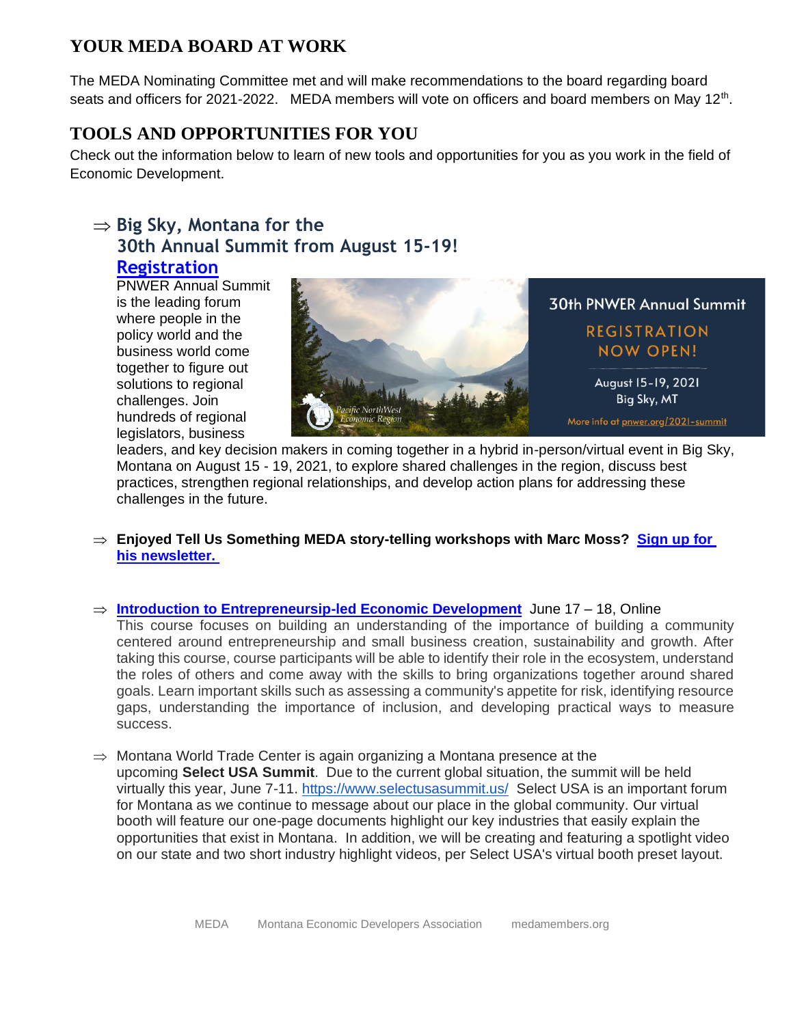#### **YOUR MEDA BOARD AT WORK**

The MEDA Nominating Committee met and will make recommendations to the board regarding board seats and officers for 2021-2022. MEDA members will vote on officers and board members on May 12<sup>th</sup>.

#### **TOOLS AND OPPORTUNITIES FOR YOU**

Check out the information below to learn of new tools and opportunities for you as you work in the field of Economic Development.

## $\Rightarrow$  Big Sky, Montana for the **30th Annual Summit from August 15-19!**

#### **[Registration](https://web.cvent.com/event/77bc70c2-6005-47e7-bad7-afe455a95229/regPage:b760ece6-6b88-4a05-a360-0fe1ecdf1f91)**

PNWER Annual Summit is the leading forum where people in the policy world and the business world come together to figure out solutions to regional challenges. Join hundreds of regional legislators, business



leaders, and key decision makers in coming together in a hybrid in-person/virtual event in Big Sky, Montana on August 15 - 19, 2021, to explore shared challenges in the region, discuss best practices, strengthen regional relationships, and develop action plans for addressing these challenges in the future.

- **Enjoyed Tell Us Something MEDA story-telling workshops with Marc Moss? [Sign up for](https://www.tellussomething.org/newsletter/)  [his newsletter.](https://www.tellussomething.org/newsletter/)**
- **[Introduction to Entrepreneursip-led Economic Development](https://www.iedconline.org/index.php?src=events&category=Training%20Courses&srctype=detail&category=Training%20Courses&refno=65&utm_medium=email&utm_campaign=427-%20June%20-%20Intro%20-%201&utm_content=427-%20June%20-%20Intro%20-%201+CID_2136b75493d3bb605e71d5790676d9fa&utm_source=Campaign%20Monitor%20IEDC&utm_term=Intro%20to%20Entrepreneurship-led%20Economic%20Development)** June 17 18, Online This course focuses on building an understanding of the importance of building a community centered around entrepreneurship and small business creation, sustainability and growth. After taking this course, course participants will be able to identify their role in the ecosystem, understand the roles of others and come away with the skills to bring organizations together around shared goals. Learn important skills such as assessing a community's appetite for risk, identifying resource gaps, understanding the importance of inclusion, and developing practical ways to measure success.
- $\Rightarrow$  Montana World Trade Center is again organizing a Montana presence at the upcoming **Select USA Summit**. Due to the current global situation, the summit will be held virtually this year, June 7-11. <https://www.selectusasummit.us/> Select USA is an important forum for Montana as we continue to message about our place in the global community. Our virtual booth will feature our one-page documents highlight our key industries that easily explain the opportunities that exist in Montana. In addition, we will be creating and featuring a spotlight video on our state and two short industry highlight videos, per Select USA's virtual booth preset layout.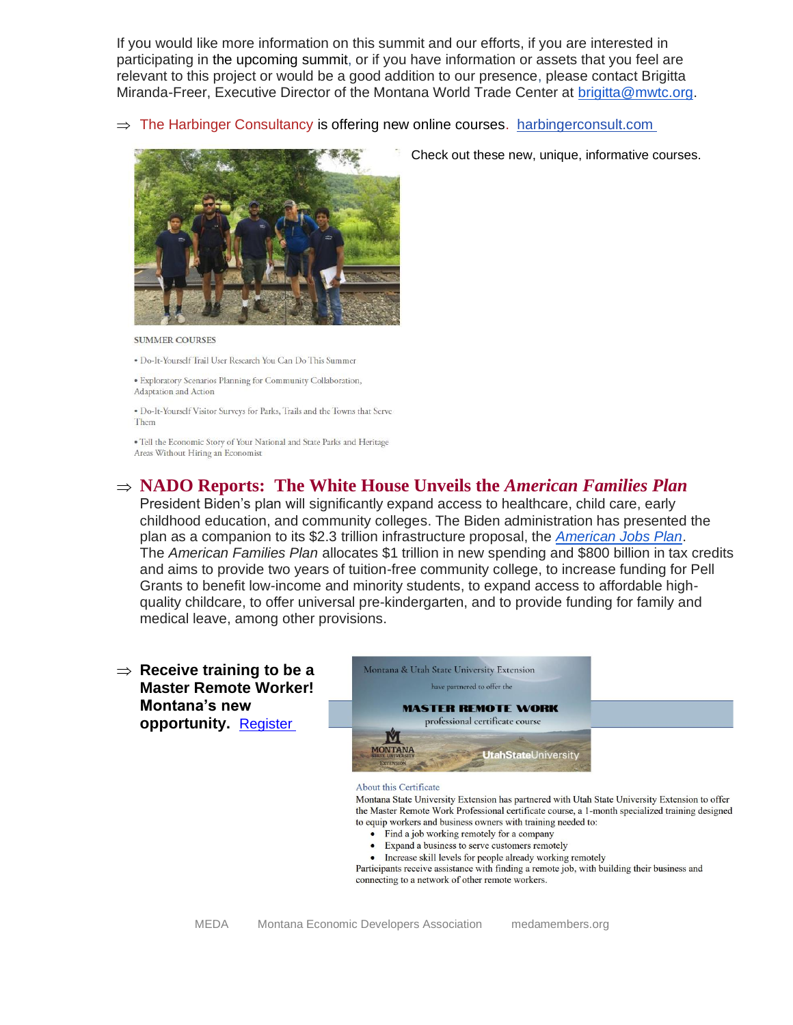If you would like more information on this summit and our efforts, if you are interested in participating in the upcoming summit, or if you have information or assets that you feel are relevant to this project or would be a good addition to our presence, please contact Brigitta Miranda-Freer, Executive Director of the Montana World Trade Center at [brigitta@mwtc.org.](mailto:brigitta@mwtc.org)

 $\Rightarrow$  The Harbinger Consultancy is offering new online courses. [harbingerconsult.com](https://harbingerconsult.us16.list-manage.com/track/click?u=7516f9ef14824d05ced4d97a8&id=0ee058bb98&e=d337eb4853)



**SUMMER COURSES** 

· Do-It-Yourself Trail User Research You Can Do This Summer

· Exploratory Scenarios Planning for Community Collaboration, Adaptation and Action

. Do-It-Yourself Visitor Surveys for Parks. Trails and the Towns that Serve Them

• Tell the Economic Story of Your National and State Parks and Heritage Areas Without Hiring an Economist

#### **NADO Reports: The White House Unveils the** *American Families Plan*

President Biden's plan will significantly expand access to healthcare, child care, early childhood education, and community colleges. The Biden administration has presented the plan as a companion to its \$2.3 trillion infrastructure proposal, the *[American Jobs Plan](https://www.whitehouse.gov/briefing-room/statements-releases/2021/03/31/fact-sheet-the-american-jobs-plan/)*. The *American Families Plan* allocates \$1 trillion in new spending and \$800 billion in tax credits and aims to provide two years of tuition-free community college, to increase funding for Pell Grants to benefit low-income and minority students, to expand access to affordable highquality childcare, to offer universal pre-kindergarten, and to provide funding for family and medical leave, among other provisions.

 $\Rightarrow$  Receive training to be a **Master Remote Worker! Montana's new opportunity. [Register](https://msuextension.org/communitydevelopment/remote-work-certificate.html)** 



#### About this Certificate

Montana State University Extension has partnered with Utah State University Extension to offer the Master Remote Work Professional certificate course, a 1-month specialized training designed to equip workers and business owners with training needed to:

- Find a job working remotely for a company
- Expand a business to serve customers remotely
- Increase skill levels for people already working remotely

Participants receive assistance with finding a remote job, with building their business and connecting to a network of other remote workers.

Check out these new, unique, informative courses.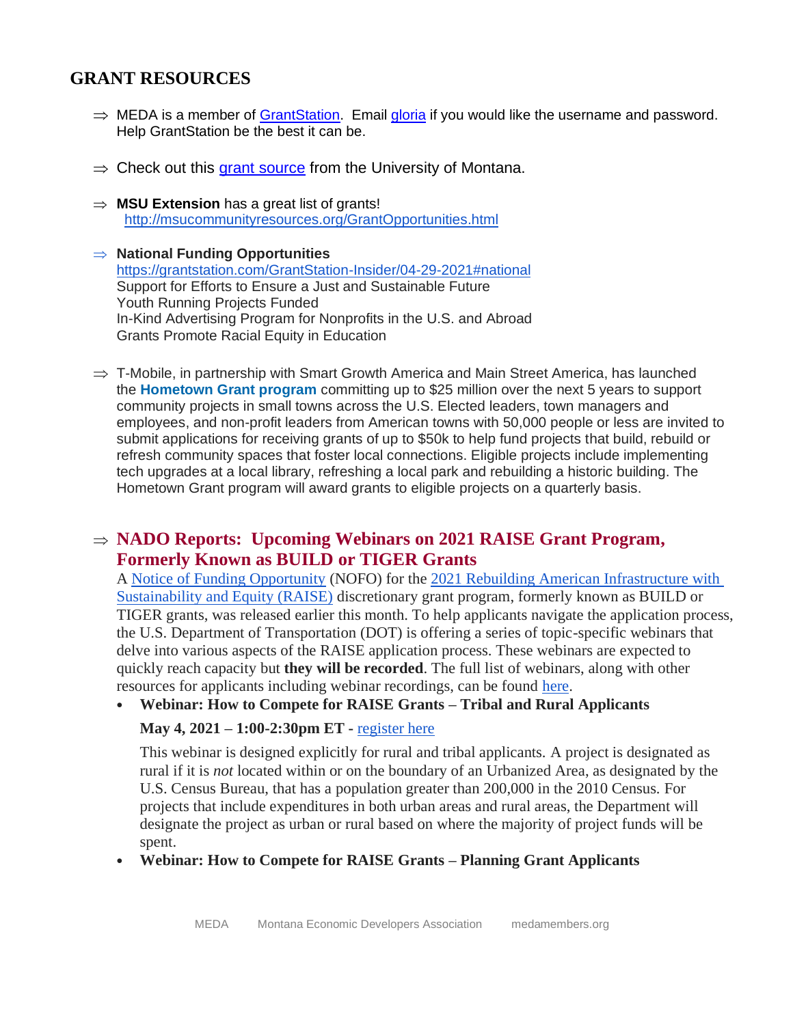#### **GRANT RESOURCES**

- $\Rightarrow$  MEDA is a member of [GrantStation.](https://grantstation.com/index.asp) Email [gloria](mailto:gloria@medamembers.org) if you would like the username and password. Help GrantStation be the best it can be.
- $\Rightarrow$  Check out this [grant source](http://health.umt.edu/ccfwd/resource_library/org_resources/grantwriters/default.php) from the University of Montana.
- $\Rightarrow$  **MSU Extension** has a great list of grants! <http://msucommunityresources.org/GrantOpportunities.html>
- **National Funding Opportunities** <https://grantstation.com/GrantStation-Insider/04-29-2021#national> Support for Efforts to Ensure a Just and Sustainable Future Youth Running Projects Funded In-Kind Advertising Program for Nonprofits in the U.S. and Abroad Grants Promote Racial Equity in Education
- $\Rightarrow$  T-Mobile, in partnership with Smart Growth America and Main Street America, has launched the **[Hometown Grant program](https://click.info.enterprisecommunity.org/?qs=92692063b471047d6e3327d2489f32200ab534a86095fb84c03d5ee3fb576140b35e9384223cc39b3322c03f9a746665410d799c8e78fef8)** committing up to \$25 million over the next 5 years to support community projects in small towns across the U.S. Elected leaders, town managers and employees, and non-profit leaders from American towns with 50,000 people or less are invited to submit applications for receiving grants of up to \$50k to help fund projects that build, rebuild or refresh community spaces that foster local connections. Eligible projects include implementing tech upgrades at a local library, refreshing a local park and rebuilding a historic building. The Hometown Grant program will award grants to eligible projects on a quarterly basis.

#### **NADO Reports: Upcoming Webinars on 2021 RAISE Grant Program, Formerly Known as BUILD or TIGER Grants**

A [Notice of Funding Opportunity](https://lnks.gd/l/eyJhbGciOiJIUzI1NiJ9.eyJidWxsZXRpbl9saW5rX2lkIjoxMDQsInVyaSI6ImJwMjpjbGljayIsImJ1bGxldGluX2lkIjoiMjAyMTA0MjcuMzk1MjUzODEiLCJ1cmwiOiJodHRwczovL3d3dy50cmFuc3BvcnRhdGlvbi5nb3YvUkFJU0VncmFudHMvcmFpc2Utbm9mbyJ9.tSUsK-dtUQH3Tohayb1yG-XYSLnM63jXmE1zv5gAhRc/s/1251653481/br/105437237353-l) (NOFO) for the 2021 [Rebuilding American Infrastructure with](https://lnks.gd/l/eyJhbGciOiJIUzI1NiJ9.eyJidWxsZXRpbl9saW5rX2lkIjoxMDUsInVyaSI6ImJwMjpjbGljayIsImJ1bGxldGluX2lkIjoiMjAyMTA0MjcuMzk1MjUzODEiLCJ1cmwiOiJodHRwczovL3d3dy50cmFuc3BvcnRhdGlvbi5nb3YvUkFJU0VncmFudHMifQ.7sYSYu0y5C7DfJxD44ZYF7EOAcQmFssj8uueKNP1qao/s/1251653481/br/105437237353-l)  [Sustainability and Equity \(RAISE\)](https://lnks.gd/l/eyJhbGciOiJIUzI1NiJ9.eyJidWxsZXRpbl9saW5rX2lkIjoxMDUsInVyaSI6ImJwMjpjbGljayIsImJ1bGxldGluX2lkIjoiMjAyMTA0MjcuMzk1MjUzODEiLCJ1cmwiOiJodHRwczovL3d3dy50cmFuc3BvcnRhdGlvbi5nb3YvUkFJU0VncmFudHMifQ.7sYSYu0y5C7DfJxD44ZYF7EOAcQmFssj8uueKNP1qao/s/1251653481/br/105437237353-l) discretionary grant program, formerly known as BUILD or TIGER grants, was released earlier this month. To help applicants navigate the application process, the U.S. Department of Transportation (DOT) is offering a series of topic-specific webinars that delve into various aspects of the RAISE application process. These webinars are expected to quickly reach capacity but **they will be recorded**. The full list of webinars, along with other resources for applicants including webinar recordings, can be found [here.](https://lnks.gd/l/eyJhbGciOiJIUzI1NiJ9.eyJidWxsZXRpbl9saW5rX2lkIjoxMDYsInVyaSI6ImJwMjpjbGljayIsImJ1bGxldGluX2lkIjoiMjAyMTA0MjcuMzk1MjUzODEiLCJ1cmwiOiJodHRwczovL3d3dy50cmFuc3BvcnRhdGlvbi5nb3YvUkFJU0VncmFudHMvb3V0cmVhY2gifQ.c_f5moTw1S12xticXSToPqCGGn-jpWdRnzpoNNGpitg/s/1251653481/br/105437237353-l)

• **Webinar: How to Compete for RAISE Grants – Tribal and Rural Applicants**

#### **May 4, 2021 – 1:00-2:30pm ET -** [register here](https://lnks.gd/l/eyJhbGciOiJIUzI1NiJ9.eyJidWxsZXRpbl9saW5rX2lkIjoxMDcsInVyaSI6ImJwMjpjbGljayIsImJ1bGxldGluX2lkIjoiMjAyMTA0MjcuMzk1MjUzODEiLCJ1cmwiOiJodHRwczovL2Nvbm5lY3Rkb3QuY29ubmVjdHNvbHV0aW9ucy5jb20vZXB6d2FvZWI1cjNrL2V2ZW50L2V2ZW50X2luZm8uaHRtbCJ9.sqsBtJjc3TUTIsLBJwx9WmwjACEisxw1xEJucPZtWlw/s/1251653481/br/105437237353-l)

This webinar is designed explicitly for rural and tribal applicants. A project is designated as rural if it is *not* located within or on the boundary of an Urbanized Area, as designated by the U.S. Census Bureau, that has a population greater than 200,000 in the 2010 Census. For projects that include expenditures in both urban areas and rural areas, the Department will designate the project as urban or rural based on where the majority of project funds will be spent.

• **Webinar: How to Compete for RAISE Grants – Planning Grant Applicants**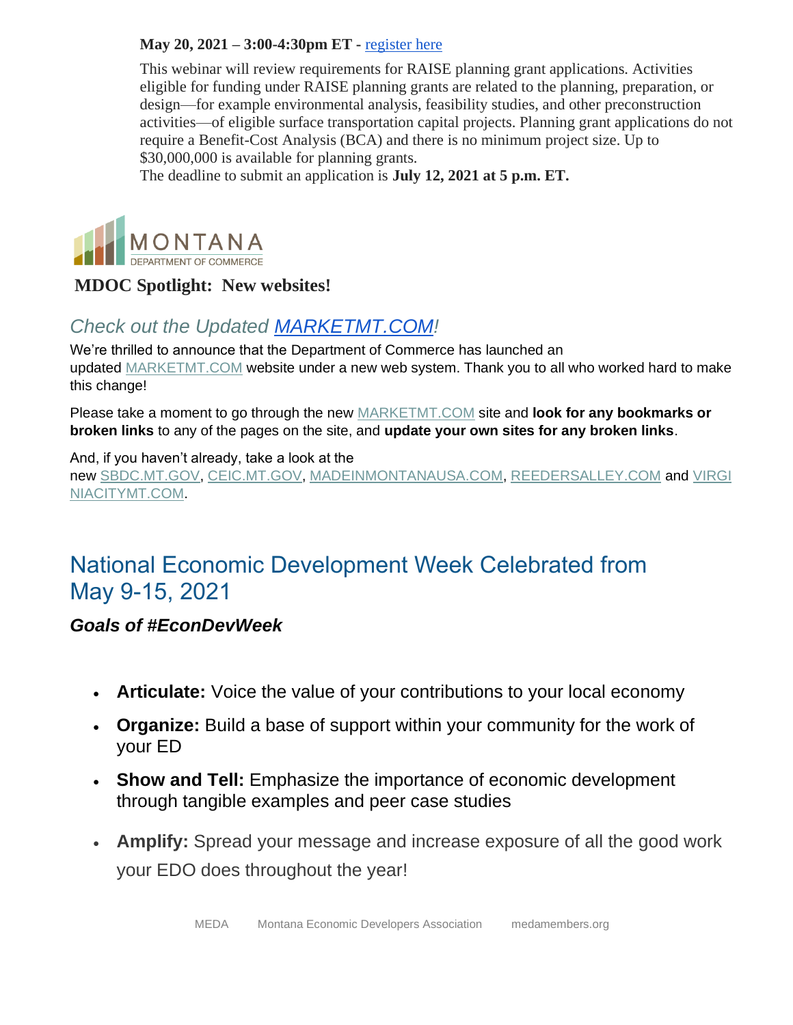#### **May 20, 2021 – 3:00-4:30pm ET -** [register here](https://lnks.gd/l/eyJhbGciOiJIUzI1NiJ9.eyJidWxsZXRpbl9saW5rX2lkIjoxMDksInVyaSI6ImJwMjpjbGljayIsImJ1bGxldGluX2lkIjoiMjAyMTA0MjcuMzk1MjUzODEiLCJ1cmwiOiJodHRwczovL2Nvbm5lY3Rkb3QuY29ubmVjdHNvbHV0aW9ucy5jb20vZTFiZWJsMjNqOWppL2V2ZW50L2V2ZW50X2luZm8uaHRtbCVDMiVBMCJ9.qFInbTLgrmJgyHP0j9QZC0nQuJwG5S-ys1PjKmB6DGU/s/1251653481/br/105437237353-l)

This webinar will review requirements for RAISE planning grant applications. Activities eligible for funding under RAISE planning grants are related to the planning, preparation, or design—for example environmental analysis, feasibility studies, and other preconstruction activities—of eligible surface transportation capital projects. Planning grant applications do not require a Benefit-Cost Analysis (BCA) and there is no minimum project size. Up to \$30,000,000 is available for planning grants.

The deadline to submit an application is **July 12, 2021 at 5 p.m. ET.**



#### **MDOC Spotlight: New websites!**

## *Check out the Updated [MARKETMT.COM!](http://marketmt.com/)*

We're thrilled to announce that the Department of Commerce has launched an updated [MARKETMT.COM](https://lnks.gd/l/eyJhbGciOiJIUzI1NiJ9.eyJidWxsZXRpbl9saW5rX2lkIjoxMDAsInVyaSI6ImJwMjpjbGljayIsImJ1bGxldGluX2lkIjoiMjAyMTA0MzAuMzk3NTA5MDEiLCJ1cmwiOiJodHRwczovL21hcmtldG10LmNvbS8ifQ._H0gB4eviBjPUz1LgGEgoctFYa1p9x4XvTS97-OXbVI/s/867968185/br/105685093748-l) website under a new web system. Thank you to all who worked hard to make this change!

Please take a moment to go through the new [MARKETMT.COM](https://lnks.gd/l/eyJhbGciOiJIUzI1NiJ9.eyJidWxsZXRpbl9saW5rX2lkIjoxMDEsInVyaSI6ImJwMjpjbGljayIsImJ1bGxldGluX2lkIjoiMjAyMTA0MzAuMzk3NTA5MDEiLCJ1cmwiOiJodHRwczovL21hcmtldG10LmNvbS8ifQ.ONZK3gHVvfCOPLU8neqvIFxlo_XGOXHPUE6cfPcad_g/s/867968185/br/105685093748-l) site and **look for any bookmarks or broken links** to any of the pages on the site, and **update your own sites for any broken links**.

#### And, if you haven't already, take a look at the

new [SBDC.MT.GOV,](https://lnks.gd/l/eyJhbGciOiJIUzI1NiJ9.eyJidWxsZXRpbl9saW5rX2lkIjoxMDIsInVyaSI6ImJwMjpjbGljayIsImJ1bGxldGluX2lkIjoiMjAyMTA0MzAuMzk3NTA5MDEiLCJ1cmwiOiJodHRwczovL3NiZGMubXQuZ292LyJ9.bYRRARCbf1UHkXXJM-XBVW8U9ara1cBIBhabS_VnnW8/s/867968185/br/105685093748-l) [CEIC.MT.GOV,](https://lnks.gd/l/eyJhbGciOiJIUzI1NiJ9.eyJidWxsZXRpbl9saW5rX2lkIjoxMDMsInVyaSI6ImJwMjpjbGljayIsImJ1bGxldGluX2lkIjoiMjAyMTA0MzAuMzk3NTA5MDEiLCJ1cmwiOiJodHRwczovL2NlaWMubXQuZ292LyJ9.Y-QPO8iyQqPKm_rI_iBEqd-EcJXoBE-lXj8XVdXm1-4/s/867968185/br/105685093748-l) [MADEINMONTANAUSA.COM,](https://lnks.gd/l/eyJhbGciOiJIUzI1NiJ9.eyJidWxsZXRpbl9saW5rX2lkIjoxMDQsInVyaSI6ImJwMjpjbGljayIsImJ1bGxldGluX2lkIjoiMjAyMTA0MzAuMzk3NTA5MDEiLCJ1cmwiOiJodHRwczovL3d3dy5tYWRlaW5tb250YW5hdXNhLmNvbS8ifQ.l6xefKDbvqZNABmXcscsvulusdXgrwWcAAqnvLtiezQ/s/867968185/br/105685093748-l) [REEDERSALLEY.COM](https://lnks.gd/l/eyJhbGciOiJIUzI1NiJ9.eyJidWxsZXRpbl9saW5rX2lkIjoxMDUsInVyaSI6ImJwMjpjbGljayIsImJ1bGxldGluX2lkIjoiMjAyMTA0MzAuMzk3NTA5MDEiLCJ1cmwiOiJodHRwczovL3JlZWRlcnNhbGxleS5jb20vIn0.v2nkafyvOnjXCVjcPLCOLiDCU5But6G0fwuAixwMwGk/s/867968185/br/105685093748-l) and [VIRGI](https://lnks.gd/l/eyJhbGciOiJIUzI1NiJ9.eyJidWxsZXRpbl9saW5rX2lkIjoxMDYsInVyaSI6ImJwMjpjbGljayIsImJ1bGxldGluX2lkIjoiMjAyMTA0MzAuMzk3NTA5MDEiLCJ1cmwiOiJodHRwczovL3ZpcmdpbmlhY2l0eW10LmNvbS8ifQ.2emjq0DWj3PtxXc9sU-LOuSehj6h0qTOprh3gAeP3lk/s/867968185/br/105685093748-l) [NIACITYMT.COM.](https://lnks.gd/l/eyJhbGciOiJIUzI1NiJ9.eyJidWxsZXRpbl9saW5rX2lkIjoxMDYsInVyaSI6ImJwMjpjbGljayIsImJ1bGxldGluX2lkIjoiMjAyMTA0MzAuMzk3NTA5MDEiLCJ1cmwiOiJodHRwczovL3ZpcmdpbmlhY2l0eW10LmNvbS8ifQ.2emjq0DWj3PtxXc9sU-LOuSehj6h0qTOprh3gAeP3lk/s/867968185/br/105685093748-l)

# National Economic Development Week Celebrated from May 9-15, 2021

#### *Goals of #EconDevWeek*

- **Articulate:** Voice the value of your contributions to your local economy
- **Organize:** Build a base of support within your community for the work of your ED
- **Show and Tell:** Emphasize the importance of economic development through tangible examples and peer case studies
- **Amplify:** Spread your message and increase exposure of all the good work your EDO does throughout the year!